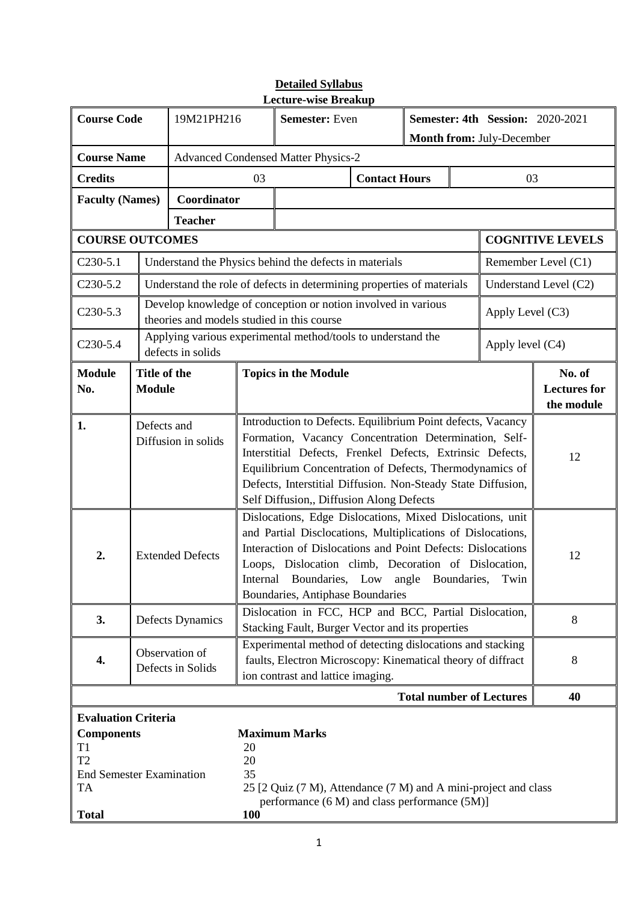| <b>Course Code</b>                                                                                                                      |                                                                                                                                                                                                                                                                                                                                                              | 19M21PH216                                 |                       | <b>Semester:</b> Even                                                                                                                                                                                                                                                                                                                                    |                      |      | <b>Semester: 4th Session: 2020-2021</b><br>Month from: July-December |                                             |                         |
|-----------------------------------------------------------------------------------------------------------------------------------------|--------------------------------------------------------------------------------------------------------------------------------------------------------------------------------------------------------------------------------------------------------------------------------------------------------------------------------------------------------------|--------------------------------------------|-----------------------|----------------------------------------------------------------------------------------------------------------------------------------------------------------------------------------------------------------------------------------------------------------------------------------------------------------------------------------------------------|----------------------|------|----------------------------------------------------------------------|---------------------------------------------|-------------------------|
| <b>Course Name</b>                                                                                                                      |                                                                                                                                                                                                                                                                                                                                                              |                                            |                       | <b>Advanced Condensed Matter Physics-2</b>                                                                                                                                                                                                                                                                                                               |                      |      |                                                                      |                                             |                         |
| <b>Credits</b>                                                                                                                          |                                                                                                                                                                                                                                                                                                                                                              |                                            | 03                    |                                                                                                                                                                                                                                                                                                                                                          | <b>Contact Hours</b> |      |                                                                      | 03                                          |                         |
| <b>Faculty (Names)</b>                                                                                                                  |                                                                                                                                                                                                                                                                                                                                                              | Coordinator                                |                       |                                                                                                                                                                                                                                                                                                                                                          |                      |      |                                                                      |                                             |                         |
|                                                                                                                                         |                                                                                                                                                                                                                                                                                                                                                              | <b>Teacher</b>                             |                       |                                                                                                                                                                                                                                                                                                                                                          |                      |      |                                                                      |                                             |                         |
| <b>COURSE OUTCOMES</b>                                                                                                                  |                                                                                                                                                                                                                                                                                                                                                              |                                            |                       |                                                                                                                                                                                                                                                                                                                                                          |                      |      |                                                                      |                                             | <b>COGNITIVE LEVELS</b> |
| $C230-5.1$                                                                                                                              |                                                                                                                                                                                                                                                                                                                                                              |                                            |                       | Understand the Physics behind the defects in materials                                                                                                                                                                                                                                                                                                   |                      |      |                                                                      |                                             | Remember Level (C1)     |
| $C230-5.2$                                                                                                                              |                                                                                                                                                                                                                                                                                                                                                              |                                            |                       | Understand the role of defects in determining properties of materials                                                                                                                                                                                                                                                                                    |                      |      |                                                                      |                                             | Understand Level (C2)   |
| $C230-5.3$                                                                                                                              |                                                                                                                                                                                                                                                                                                                                                              | theories and models studied in this course |                       | Develop knowledge of conception or notion involved in various                                                                                                                                                                                                                                                                                            |                      |      |                                                                      | Apply Level (C3)                            |                         |
| $C230-5.4$                                                                                                                              |                                                                                                                                                                                                                                                                                                                                                              | defects in solids                          |                       | Applying various experimental method/tools to understand the                                                                                                                                                                                                                                                                                             |                      |      |                                                                      | Apply level (C4)                            |                         |
| <b>Module</b><br>No.                                                                                                                    | Title of the<br><b>Topics in the Module</b><br><b>Module</b>                                                                                                                                                                                                                                                                                                 |                                            |                       |                                                                                                                                                                                                                                                                                                                                                          |                      |      |                                                                      | No. of<br><b>Lectures for</b><br>the module |                         |
| 1.                                                                                                                                      | Defects and<br>Diffusion in solids                                                                                                                                                                                                                                                                                                                           |                                            |                       | Introduction to Defects. Equilibrium Point defects, Vacancy<br>Formation, Vacancy Concentration Determination, Self-<br>Interstitial Defects, Frenkel Defects, Extrinsic Defects,<br>Equilibrium Concentration of Defects, Thermodynamics of<br>Defects, Interstitial Diffusion. Non-Steady State Diffusion,<br>Self Diffusion,, Diffusion Along Defects |                      |      |                                                                      |                                             | 12                      |
| 2.                                                                                                                                      | Dislocations, Edge Dislocations, Mixed Dislocations, unit<br>and Partial Disclocations, Multiplications of Dislocations,<br>Interaction of Dislocations and Point Defects: Dislocations<br><b>Extended Defects</b><br>Loops, Dislocation climb, Decoration of Dislocation,<br>Internal Boundaries, Low angle Boundaries,<br>Boundaries, Antiphase Boundaries |                                            |                       |                                                                                                                                                                                                                                                                                                                                                          |                      | Twin | 12                                                                   |                                             |                         |
| 3.                                                                                                                                      |                                                                                                                                                                                                                                                                                                                                                              | Defects Dynamics                           |                       | Dislocation in FCC, HCP and BCC, Partial Dislocation,<br>Stacking Fault, Burger Vector and its properties                                                                                                                                                                                                                                                |                      |      |                                                                      |                                             | 8                       |
| 4.                                                                                                                                      | Experimental method of detecting dislocations and stacking<br>Observation of<br>faults, Electron Microscopy: Kinematical theory of diffract<br>Defects in Solids<br>ion contrast and lattice imaging.                                                                                                                                                        |                                            |                       |                                                                                                                                                                                                                                                                                                                                                          |                      |      | 8                                                                    |                                             |                         |
|                                                                                                                                         |                                                                                                                                                                                                                                                                                                                                                              |                                            |                       |                                                                                                                                                                                                                                                                                                                                                          |                      |      |                                                                      | <b>Total number of Lectures</b>             | 40                      |
| <b>Evaluation Criteria</b><br><b>Components</b><br>T1<br>T <sub>2</sub><br><b>End Semester Examination</b><br><b>TA</b><br><b>Total</b> |                                                                                                                                                                                                                                                                                                                                                              |                                            | 20<br>20<br>35<br>100 | <b>Maximum Marks</b><br>25 [2 Quiz (7 M), Attendance (7 M) and A mini-project and class<br>performance (6 M) and class performance (5M)]                                                                                                                                                                                                                 |                      |      |                                                                      |                                             |                         |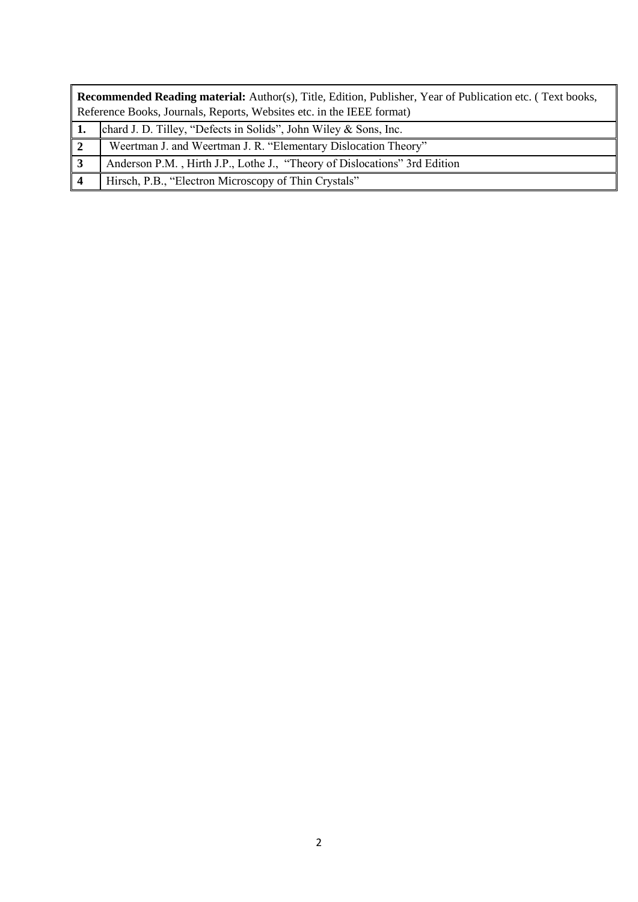| <b>Recommended Reading material:</b> Author(s), Title, Edition, Publisher, Year of Publication etc. (Text books, |  |  |  |  |  |  |  |
|------------------------------------------------------------------------------------------------------------------|--|--|--|--|--|--|--|
| Reference Books, Journals, Reports, Websites etc. in the IEEE format)                                            |  |  |  |  |  |  |  |
| 1. chard J. D. Tilley, "Defects in Solids", John Wiley & Sons, Inc.                                              |  |  |  |  |  |  |  |
| Weertman J. and Weertman J. R. "Elementary Dislocation Theory"                                                   |  |  |  |  |  |  |  |
| Anderson P.M., Hirth J.P., Lothe J., "Theory of Dislocations" 3rd Edition                                        |  |  |  |  |  |  |  |
| Hirsch, P.B., "Electron Microscopy of Thin Crystals"                                                             |  |  |  |  |  |  |  |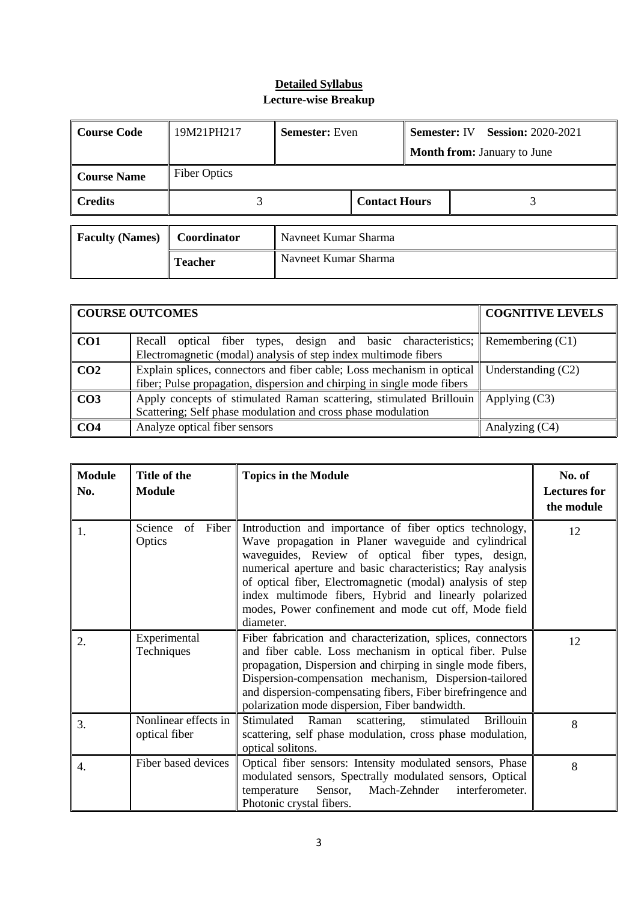| <b>Course Code</b>     | 19M21PH217          | <b>Semester:</b> Even |                      | <b>Semester: IV</b> Session: 2020-2021 |                                    |  |  |  |
|------------------------|---------------------|-----------------------|----------------------|----------------------------------------|------------------------------------|--|--|--|
|                        |                     |                       |                      |                                        | <b>Month from: January to June</b> |  |  |  |
| <b>Course Name</b>     | <b>Fiber Optics</b> |                       |                      |                                        |                                    |  |  |  |
| <b>Credits</b>         |                     |                       | <b>Contact Hours</b> |                                        |                                    |  |  |  |
| <b>Faculty (Names)</b> | Coordinator         | Navneet Kumar Sharma  |                      |                                        |                                    |  |  |  |
|                        |                     |                       |                      |                                        |                                    |  |  |  |
|                        | <b>Teacher</b>      | Navneet Kumar Sharma  |                      |                                        |                                    |  |  |  |

|                  | <b>COURSE OUTCOMES</b>                                                                                                                            | <b>COGNITIVE LEVELS</b> |  |
|------------------|---------------------------------------------------------------------------------------------------------------------------------------------------|-------------------------|--|
| CO1              | Recall optical fiber types, design and basic characteristics;<br>Electromagnetic (modal) analysis of step index multimode fibers                  | Remembering $(C1)$      |  |
| $\overline{CO2}$ | Explain splices, connectors and fiber cable; Loss mechanism in optical<br>fiber; Pulse propagation, dispersion and chirping in single mode fibers | Understanding $(C2)$    |  |
| $\overline{C}$   | Apply concepts of stimulated Raman scattering, stimulated Brillouin<br>Scattering; Self phase modulation and cross phase modulation               | Applying $(C3)$         |  |
| CO <sub>4</sub>  | Analyze optical fiber sensors                                                                                                                     | Analyzing (C4)          |  |

| <b>Module</b><br>No. | Title of the<br><b>Module</b>         | <b>Topics in the Module</b>                                                                                                                                                                                                                                                                                                                                                                                                      | No. of<br><b>Lectures for</b><br>the module |
|----------------------|---------------------------------------|----------------------------------------------------------------------------------------------------------------------------------------------------------------------------------------------------------------------------------------------------------------------------------------------------------------------------------------------------------------------------------------------------------------------------------|---------------------------------------------|
| 1.                   | Science<br>Fiber<br>of<br>Optics      | Introduction and importance of fiber optics technology,<br>Wave propagation in Planer waveguide and cylindrical<br>waveguides, Review of optical fiber types, design,<br>numerical aperture and basic characteristics; Ray analysis<br>of optical fiber, Electromagnetic (modal) analysis of step<br>index multimode fibers, Hybrid and linearly polarized<br>modes, Power confinement and mode cut off, Mode field<br>diameter. | 12                                          |
| 2.                   | Experimental<br>Techniques            | Fiber fabrication and characterization, splices, connectors<br>and fiber cable. Loss mechanism in optical fiber. Pulse<br>propagation, Dispersion and chirping in single mode fibers,<br>Dispersion-compensation mechanism, Dispersion-tailored<br>and dispersion-compensating fibers, Fiber birefringence and<br>polarization mode dispersion, Fiber bandwidth.                                                                 | 12                                          |
| 3.                   | Nonlinear effects in<br>optical fiber | Stimulated<br>stimulated<br><b>Brillouin</b><br>Raman<br>scattering,<br>scattering, self phase modulation, cross phase modulation,<br>optical solitons.                                                                                                                                                                                                                                                                          | 8                                           |
| $\overline{4}$ .     | Fiber based devices                   | Optical fiber sensors: Intensity modulated sensors, Phase<br>modulated sensors, Spectrally modulated sensors, Optical<br>Mach-Zehnder<br>interferometer.<br>Sensor,<br>temperature<br>Photonic crystal fibers.                                                                                                                                                                                                                   | 8                                           |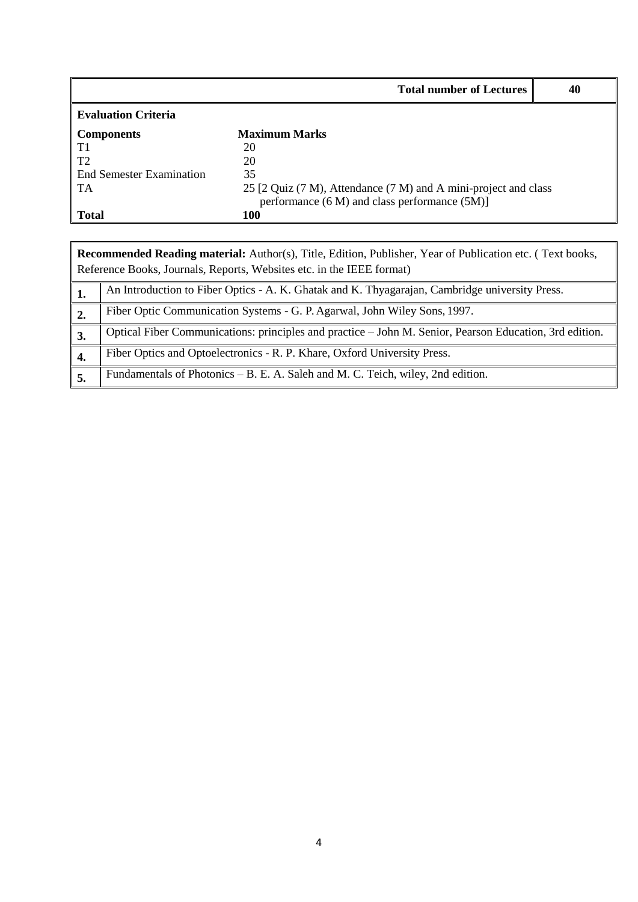|                            | <b>Total number of Lectures</b>                                 | 40 |
|----------------------------|-----------------------------------------------------------------|----|
| <b>Evaluation Criteria</b> |                                                                 |    |
| <b>Components</b>          | <b>Maximum Marks</b>                                            |    |
| T <sub>1</sub>             | 20                                                              |    |
| T <sub>2</sub>             | 20                                                              |    |
| End Semester Examination   | 35                                                              |    |
| TA                         | 25 [2 Quiz (7 M), Attendance (7 M) and A mini-project and class |    |
|                            | performance (6 M) and class performance (5M)]                   |    |
| <b>Total</b>               | 100                                                             |    |

| <b>Recommended Reading material:</b> Author(s), Title, Edition, Publisher, Year of Publication etc. (Text books,<br>Reference Books, Journals, Reports, Websites etc. in the IEEE format) |                                                                                                         |  |  |  |  |  |  |
|-------------------------------------------------------------------------------------------------------------------------------------------------------------------------------------------|---------------------------------------------------------------------------------------------------------|--|--|--|--|--|--|
| 1.                                                                                                                                                                                        | An Introduction to Fiber Optics - A. K. Ghatak and K. Thyagarajan, Cambridge university Press.          |  |  |  |  |  |  |
| $\overline{2}$ .                                                                                                                                                                          | Fiber Optic Communication Systems - G. P. Agarwal, John Wiley Sons, 1997.                               |  |  |  |  |  |  |
| 3.                                                                                                                                                                                        | Optical Fiber Communications: principles and practice - John M. Senior, Pearson Education, 3rd edition. |  |  |  |  |  |  |
| 4.                                                                                                                                                                                        | Fiber Optics and Optoelectronics - R. P. Khare, Oxford University Press.                                |  |  |  |  |  |  |
|                                                                                                                                                                                           | Fundamentals of Photonics - B. E. A. Saleh and M. C. Teich, wiley, 2nd edition.                         |  |  |  |  |  |  |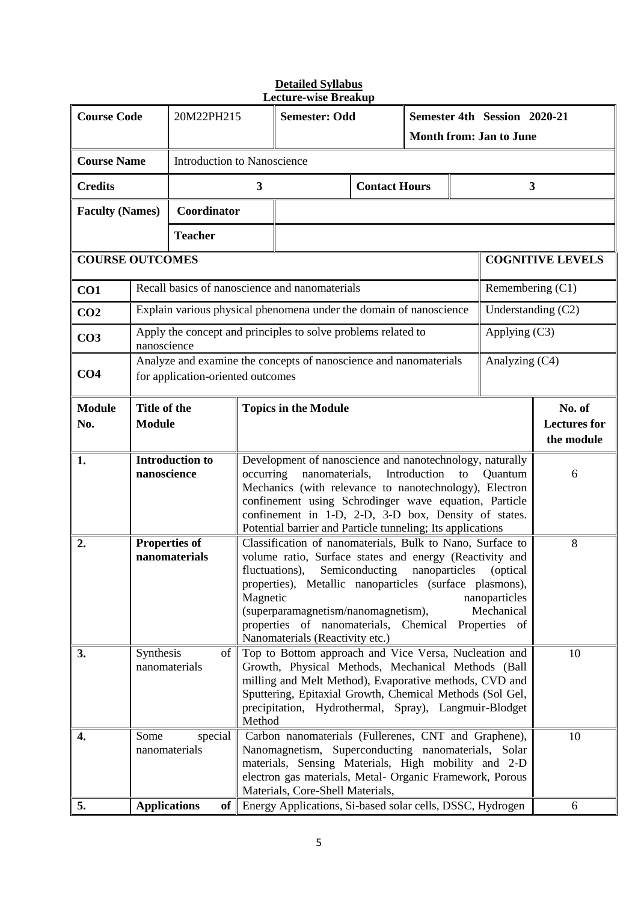| <b>Course Code</b>                                       |                                                                                                                                                                                                                                                                                                                                                                                                                                                                                                                                         | 20M22PH215                        |                 |                                                                                                                                                                                                                                                                                                     | <b>Semester: Odd</b>                                               |                                                           | Semester 4th Session 2020-21<br><b>Month from: Jan to June</b> |    |                    |                                             |
|----------------------------------------------------------|-----------------------------------------------------------------------------------------------------------------------------------------------------------------------------------------------------------------------------------------------------------------------------------------------------------------------------------------------------------------------------------------------------------------------------------------------------------------------------------------------------------------------------------------|-----------------------------------|-----------------|-----------------------------------------------------------------------------------------------------------------------------------------------------------------------------------------------------------------------------------------------------------------------------------------------------|--------------------------------------------------------------------|-----------------------------------------------------------|----------------------------------------------------------------|----|--------------------|---------------------------------------------|
| <b>Course Name</b><br><b>Introduction to Nanoscience</b> |                                                                                                                                                                                                                                                                                                                                                                                                                                                                                                                                         |                                   |                 |                                                                                                                                                                                                                                                                                                     |                                                                    |                                                           |                                                                |    |                    |                                             |
| <b>Credits</b>                                           |                                                                                                                                                                                                                                                                                                                                                                                                                                                                                                                                         |                                   |                 | $\mathbf{3}$                                                                                                                                                                                                                                                                                        |                                                                    | <b>Contact Hours</b>                                      |                                                                |    | 3                  |                                             |
|                                                          |                                                                                                                                                                                                                                                                                                                                                                                                                                                                                                                                         |                                   |                 |                                                                                                                                                                                                                                                                                                     |                                                                    |                                                           |                                                                |    |                    |                                             |
| <b>Faculty (Names)</b>                                   |                                                                                                                                                                                                                                                                                                                                                                                                                                                                                                                                         | Coordinator                       |                 |                                                                                                                                                                                                                                                                                                     |                                                                    |                                                           |                                                                |    |                    |                                             |
|                                                          |                                                                                                                                                                                                                                                                                                                                                                                                                                                                                                                                         | <b>Teacher</b>                    |                 |                                                                                                                                                                                                                                                                                                     |                                                                    |                                                           |                                                                |    |                    |                                             |
| <b>COURSE OUTCOMES</b>                                   |                                                                                                                                                                                                                                                                                                                                                                                                                                                                                                                                         |                                   |                 |                                                                                                                                                                                                                                                                                                     |                                                                    |                                                           |                                                                |    |                    | <b>COGNITIVE LEVELS</b>                     |
| CO1                                                      |                                                                                                                                                                                                                                                                                                                                                                                                                                                                                                                                         |                                   |                 |                                                                                                                                                                                                                                                                                                     | Recall basics of nanoscience and nanomaterials                     |                                                           |                                                                |    | Remembering $(C1)$ |                                             |
| CO <sub>2</sub>                                          |                                                                                                                                                                                                                                                                                                                                                                                                                                                                                                                                         |                                   |                 |                                                                                                                                                                                                                                                                                                     | Explain various physical phenomena under the domain of nanoscience |                                                           |                                                                |    | Understanding (C2) |                                             |
| CO <sub>3</sub>                                          | nanoscience                                                                                                                                                                                                                                                                                                                                                                                                                                                                                                                             |                                   |                 |                                                                                                                                                                                                                                                                                                     | Apply the concept and principles to solve problems related to      |                                                           |                                                                |    | Applying $(C3)$    |                                             |
| CO <sub>4</sub>                                          |                                                                                                                                                                                                                                                                                                                                                                                                                                                                                                                                         | for application-oriented outcomes |                 |                                                                                                                                                                                                                                                                                                     | Analyze and examine the concepts of nanoscience and nanomaterials  |                                                           |                                                                |    | Analyzing (C4)     |                                             |
| <b>Module</b><br>No.                                     | Title of the<br><b>Module</b>                                                                                                                                                                                                                                                                                                                                                                                                                                                                                                           |                                   |                 |                                                                                                                                                                                                                                                                                                     | <b>Topics in the Module</b>                                        |                                                           |                                                                |    |                    | No. of<br><b>Lectures</b> for<br>the module |
| 1.                                                       | <b>Introduction to</b><br>nanoscience                                                                                                                                                                                                                                                                                                                                                                                                                                                                                                   |                                   |                 | Development of nanoscience and nanotechnology, naturally<br>nanomaterials,<br>Introduction<br>occurring<br>to<br>Quantum<br>Mechanics (with relevance to nanotechnology), Electron<br>confinement using Schrodinger wave equation, Particle<br>confinement in 1-D, 2-D, 3-D box, Density of states. |                                                                    |                                                           |                                                                |    | 6                  |                                             |
| 2.                                                       | Potential barrier and Particle tunneling; Its applications<br><b>Properties of</b><br>Classification of nanomaterials, Bulk to Nano, Surface to<br>nanomaterials<br>volume ratio, Surface states and energy (Reactivity and<br>Semiconducting<br>fluctuations),<br>nanoparticles<br>(optical)<br>properties), Metallic nanoparticles (surface plasmons),<br>Magnetic<br>nanoparticles<br>(superparamagnetism/nanomagnetism),<br>Mechanical<br>properties of nanomaterials, Chemical<br>Properties of<br>Nanomaterials (Reactivity etc.) |                                   |                 |                                                                                                                                                                                                                                                                                                     |                                                                    | 8                                                         |                                                                |    |                    |                                             |
| 3.                                                       | Synthesis<br>of I<br>nanomaterials                                                                                                                                                                                                                                                                                                                                                                                                                                                                                                      |                                   |                 | Top to Bottom approach and Vice Versa, Nucleation and<br>Growth, Physical Methods, Mechanical Methods (Ball<br>milling and Melt Method), Evaporative methods, CVD and<br>Sputtering, Epitaxial Growth, Chemical Methods (Sol Gel,<br>precipitation, Hydrothermal, Spray), Langmuir-Blodget          |                                                                    |                                                           |                                                                | 10 |                    |                                             |
| 4.                                                       | Method<br>Some<br>Carbon nanomaterials (Fullerenes, CNT and Graphene),<br>special<br>Nanomagnetism, Superconducting nanomaterials, Solar<br>nanomaterials<br>materials, Sensing Materials, High mobility and 2-D<br>electron gas materials, Metal- Organic Framework, Porous<br>Materials, Core-Shell Materials,                                                                                                                                                                                                                        |                                   |                 |                                                                                                                                                                                                                                                                                                     | 10<br>6                                                            |                                                           |                                                                |    |                    |                                             |
| 5.                                                       |                                                                                                                                                                                                                                                                                                                                                                                                                                                                                                                                         | <b>Applications</b>               | of <sub>1</sub> |                                                                                                                                                                                                                                                                                                     |                                                                    | Energy Applications, Si-based solar cells, DSSC, Hydrogen |                                                                |    |                    |                                             |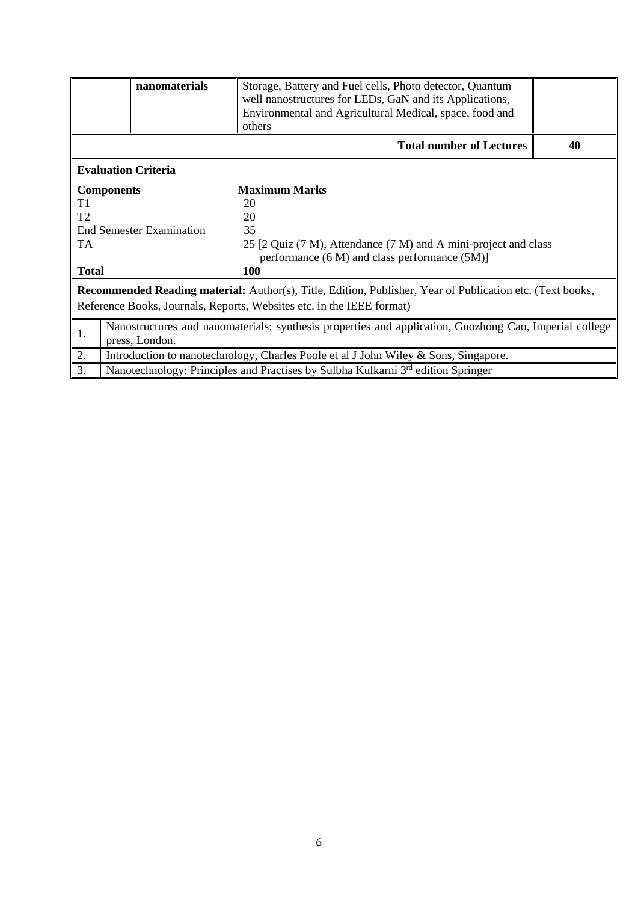|                                                                                                                                                                                           | nanomaterials                                                                                                            |                                                                                              |    |  |  |  |  |  |
|-------------------------------------------------------------------------------------------------------------------------------------------------------------------------------------------|--------------------------------------------------------------------------------------------------------------------------|----------------------------------------------------------------------------------------------|----|--|--|--|--|--|
|                                                                                                                                                                                           |                                                                                                                          | others                                                                                       |    |  |  |  |  |  |
|                                                                                                                                                                                           |                                                                                                                          | <b>Total number of Lectures</b>                                                              | 40 |  |  |  |  |  |
|                                                                                                                                                                                           | <b>Evaluation Criteria</b>                                                                                               |                                                                                              |    |  |  |  |  |  |
|                                                                                                                                                                                           | <b>Components</b>                                                                                                        | <b>Maximum Marks</b>                                                                         |    |  |  |  |  |  |
| T1                                                                                                                                                                                        |                                                                                                                          | 20                                                                                           |    |  |  |  |  |  |
| T <sub>2</sub>                                                                                                                                                                            |                                                                                                                          | 20                                                                                           |    |  |  |  |  |  |
|                                                                                                                                                                                           | <b>End Semester Examination</b>                                                                                          | 35                                                                                           |    |  |  |  |  |  |
| <b>TA</b>                                                                                                                                                                                 |                                                                                                                          | 25 [2 Quiz (7 M), Attendance (7 M) and A mini-project and class                              |    |  |  |  |  |  |
|                                                                                                                                                                                           |                                                                                                                          | performance (6 M) and class performance (5M)]                                                |    |  |  |  |  |  |
| <b>Total</b>                                                                                                                                                                              |                                                                                                                          | 100                                                                                          |    |  |  |  |  |  |
| <b>Recommended Reading material:</b> Author(s), Title, Edition, Publisher, Year of Publication etc. (Text books,<br>Reference Books, Journals, Reports, Websites etc. in the IEEE format) |                                                                                                                          |                                                                                              |    |  |  |  |  |  |
| 1.                                                                                                                                                                                        | Nanostructures and nanomaterials: synthesis properties and application, Guozhong Cao, Imperial college<br>press, London. |                                                                                              |    |  |  |  |  |  |
| 2.                                                                                                                                                                                        |                                                                                                                          | Introduction to nanotechnology, Charles Poole et al J John Wiley & Sons, Singapore.          |    |  |  |  |  |  |
| 3.                                                                                                                                                                                        |                                                                                                                          | Nanotechnology: Principles and Practises by Sulbha Kulkarni 3 <sup>rd</sup> edition Springer |    |  |  |  |  |  |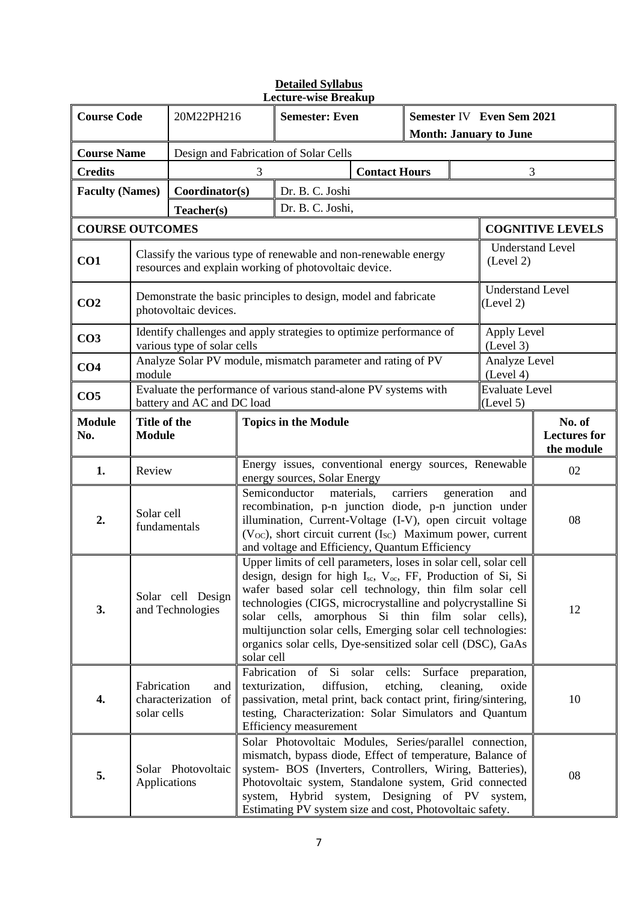| <b>Course Code</b>     |                                                                                                                                                                                                                                                                                                                                                                                                                                                                                                                                                                      | 20M22PH216                  |                                                                                       | <b>Semester: Even</b>                                                                                                                                                                                                                                                                                                                                    |                      | Semester IV Even Sem 2021<br><b>Month: January to June</b> |                                      |                                      |                                             |  |
|------------------------|----------------------------------------------------------------------------------------------------------------------------------------------------------------------------------------------------------------------------------------------------------------------------------------------------------------------------------------------------------------------------------------------------------------------------------------------------------------------------------------------------------------------------------------------------------------------|-----------------------------|---------------------------------------------------------------------------------------|----------------------------------------------------------------------------------------------------------------------------------------------------------------------------------------------------------------------------------------------------------------------------------------------------------------------------------------------------------|----------------------|------------------------------------------------------------|--------------------------------------|--------------------------------------|---------------------------------------------|--|
| <b>Course Name</b>     |                                                                                                                                                                                                                                                                                                                                                                                                                                                                                                                                                                      |                             |                                                                                       | Design and Fabrication of Solar Cells                                                                                                                                                                                                                                                                                                                    |                      |                                                            |                                      |                                      |                                             |  |
| <b>Credits</b>         |                                                                                                                                                                                                                                                                                                                                                                                                                                                                                                                                                                      |                             | 3                                                                                     |                                                                                                                                                                                                                                                                                                                                                          | <b>Contact Hours</b> |                                                            |                                      | 3                                    |                                             |  |
| <b>Faculty (Names)</b> |                                                                                                                                                                                                                                                                                                                                                                                                                                                                                                                                                                      | Coordinator(s)              |                                                                                       | Dr. B. C. Joshi                                                                                                                                                                                                                                                                                                                                          |                      |                                                            |                                      |                                      |                                             |  |
|                        |                                                                                                                                                                                                                                                                                                                                                                                                                                                                                                                                                                      | Teacher(s)                  |                                                                                       | Dr. B. C. Joshi,                                                                                                                                                                                                                                                                                                                                         |                      |                                                            |                                      |                                      |                                             |  |
| <b>COURSE OUTCOMES</b> |                                                                                                                                                                                                                                                                                                                                                                                                                                                                                                                                                                      |                             |                                                                                       |                                                                                                                                                                                                                                                                                                                                                          |                      |                                                            |                                      |                                      | <b>COGNITIVE LEVELS</b>                     |  |
| CO1                    |                                                                                                                                                                                                                                                                                                                                                                                                                                                                                                                                                                      |                             |                                                                                       | Classify the various type of renewable and non-renewable energy<br>resources and explain working of photovoltaic device.                                                                                                                                                                                                                                 |                      |                                                            | <b>Understand Level</b><br>(Level 2) |                                      |                                             |  |
| CO <sub>2</sub>        |                                                                                                                                                                                                                                                                                                                                                                                                                                                                                                                                                                      | photovoltaic devices.       |                                                                                       | Demonstrate the basic principles to design, model and fabricate                                                                                                                                                                                                                                                                                          |                      |                                                            |                                      | <b>Understand Level</b><br>(Level 2) |                                             |  |
| CO <sub>3</sub>        |                                                                                                                                                                                                                                                                                                                                                                                                                                                                                                                                                                      | various type of solar cells |                                                                                       | Identify challenges and apply strategies to optimize performance of                                                                                                                                                                                                                                                                                      |                      |                                                            |                                      | Apply Level<br>(Level 3)             |                                             |  |
| CO <sub>4</sub>        | module                                                                                                                                                                                                                                                                                                                                                                                                                                                                                                                                                               |                             |                                                                                       | Analyze Solar PV module, mismatch parameter and rating of PV                                                                                                                                                                                                                                                                                             |                      |                                                            |                                      | Analyze Level<br>(Level 4)           |                                             |  |
| CO <sub>5</sub>        |                                                                                                                                                                                                                                                                                                                                                                                                                                                                                                                                                                      | battery and AC and DC load  | Evaluate the performance of various stand-alone PV systems with                       |                                                                                                                                                                                                                                                                                                                                                          |                      |                                                            | <b>Evaluate Level</b><br>(Level 5)   |                                      |                                             |  |
| <b>Module</b><br>No.   | Title of the<br><b>Module</b>                                                                                                                                                                                                                                                                                                                                                                                                                                                                                                                                        |                             |                                                                                       | <b>Topics in the Module</b>                                                                                                                                                                                                                                                                                                                              |                      |                                                            |                                      |                                      | No. of<br><b>Lectures</b> for<br>the module |  |
| 1.                     | Review                                                                                                                                                                                                                                                                                                                                                                                                                                                                                                                                                               |                             | Energy issues, conventional energy sources, Renewable<br>energy sources, Solar Energy |                                                                                                                                                                                                                                                                                                                                                          |                      |                                                            |                                      | 02                                   |                                             |  |
| 2.                     | Solar cell<br>fundamentals                                                                                                                                                                                                                                                                                                                                                                                                                                                                                                                                           |                             |                                                                                       | Semiconductor<br>recombination, p-n junction diode, p-n junction under<br>illumination, Current-Voltage (I-V), open circuit voltage<br>$(V_{OC})$ , short circuit current $(I_{SC})$ Maximum power, current                                                                                                                                              | materials,           | carriers                                                   | generation                           | and                                  | 08                                          |  |
| 3.                     | and voltage and Efficiency, Quantum Efficiency<br>Upper limits of cell parameters, loses in solar cell, solar cell<br>design, design for high $I_{sc}$ , $V_{oc}$ , FF, Production of Si, Si<br>wafer based solar cell technology, thin film solar cell<br>Solar cell Design<br>technologies (CIGS, microcrystalline and polycrystalline Si<br>and Technologies<br>solar cells,<br>amorphous Si thin film solar cells),<br>multijunction solar cells, Emerging solar cell technologies:<br>organics solar cells, Dye-sensitized solar cell (DSC), GaAs<br>solar cell |                             |                                                                                       |                                                                                                                                                                                                                                                                                                                                                          |                      |                                                            | 12                                   |                                      |                                             |  |
| 4.                     | Fabrication of Si solar<br>cells:<br>Surface<br>preparation,<br>diffusion,<br>etching,<br>Fabrication<br>cleaning,<br>texturization,<br>oxide<br>and<br>characterization of<br>passivation, metal print, back contact print, firing/sintering,<br>solar cells<br>testing, Characterization: Solar Simulators and Quantum<br>Efficiency measurement                                                                                                                                                                                                                   |                             |                                                                                       |                                                                                                                                                                                                                                                                                                                                                          |                      | 10                                                         |                                      |                                      |                                             |  |
| 5.                     | Applications                                                                                                                                                                                                                                                                                                                                                                                                                                                                                                                                                         | Solar Photovoltaic          |                                                                                       | Solar Photovoltaic Modules, Series/parallel connection,<br>mismatch, bypass diode, Effect of temperature, Balance of<br>system- BOS (Inverters, Controllers, Wiring, Batteries),<br>Photovoltaic system, Standalone system, Grid connected<br>system, Hybrid system, Designing of PV system,<br>Estimating PV system size and cost, Photovoltaic safety. |                      |                                                            |                                      |                                      | 08                                          |  |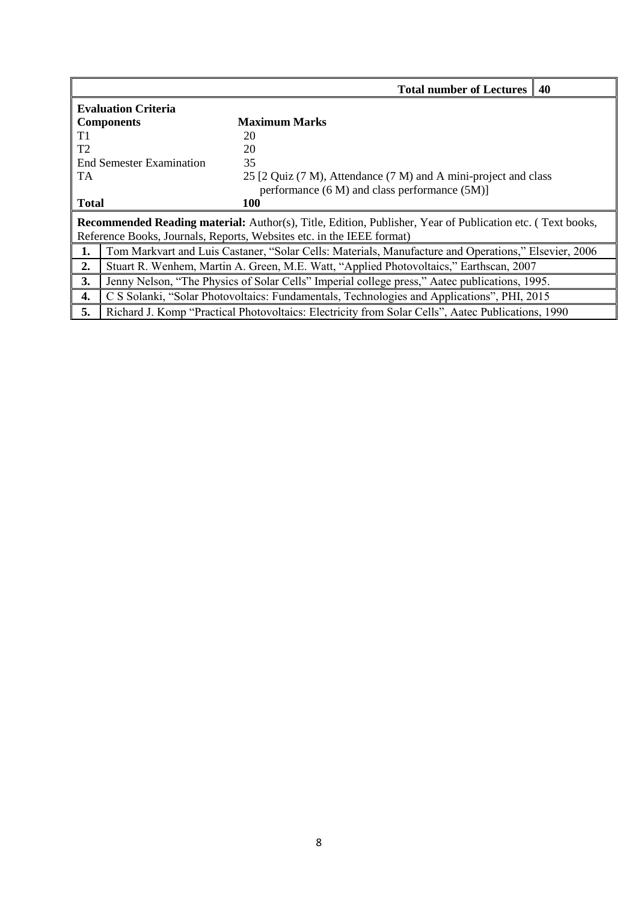|                          |                            | <b>Total number of Lectures</b>                                                                           | $\vert$ 40 |  |  |  |  |
|--------------------------|----------------------------|-----------------------------------------------------------------------------------------------------------|------------|--|--|--|--|
|                          | <b>Evaluation Criteria</b> |                                                                                                           |            |  |  |  |  |
|                          | <b>Components</b>          | <b>Maximum Marks</b>                                                                                      |            |  |  |  |  |
| T1                       |                            | 20                                                                                                        |            |  |  |  |  |
| T <sub>2</sub>           |                            | 20                                                                                                        |            |  |  |  |  |
| End Semester Examination |                            | 35                                                                                                        |            |  |  |  |  |
| TA                       |                            | 25 [2 Quiz (7 M), Attendance (7 M) and A mini-project and class                                           |            |  |  |  |  |
|                          |                            | performance $(6 M)$ and class performance $(5 M)$ ]                                                       |            |  |  |  |  |
| <b>Total</b>             |                            | 100                                                                                                       |            |  |  |  |  |
|                          |                            | Recommended Reading material: Author(s), Title, Edition, Publisher, Year of Publication etc. (Text books, |            |  |  |  |  |
|                          |                            | Reference Books, Journals, Reports, Websites etc. in the IEEE format)                                     |            |  |  |  |  |
| 1.                       |                            | Tom Markvart and Luis Castaner, "Solar Cells: Materials, Manufacture and Operations," Elsevier, 2006      |            |  |  |  |  |
| 2.                       |                            | Stuart R. Wenhem, Martin A. Green, M.E. Watt, "Applied Photovoltaics," Earthscan, 2007                    |            |  |  |  |  |
| 3.                       |                            | Jenny Nelson, "The Physics of Solar Cells" Imperial college press," Aatec publications, 1995.             |            |  |  |  |  |
| 4.                       |                            | C S Solanki, "Solar Photovoltaics: Fundamentals, Technologies and Applications", PHI, 2015                |            |  |  |  |  |
| 5.                       |                            | Richard J. Komp "Practical Photovoltaics: Electricity from Solar Cells", Aatec Publications, 1990         |            |  |  |  |  |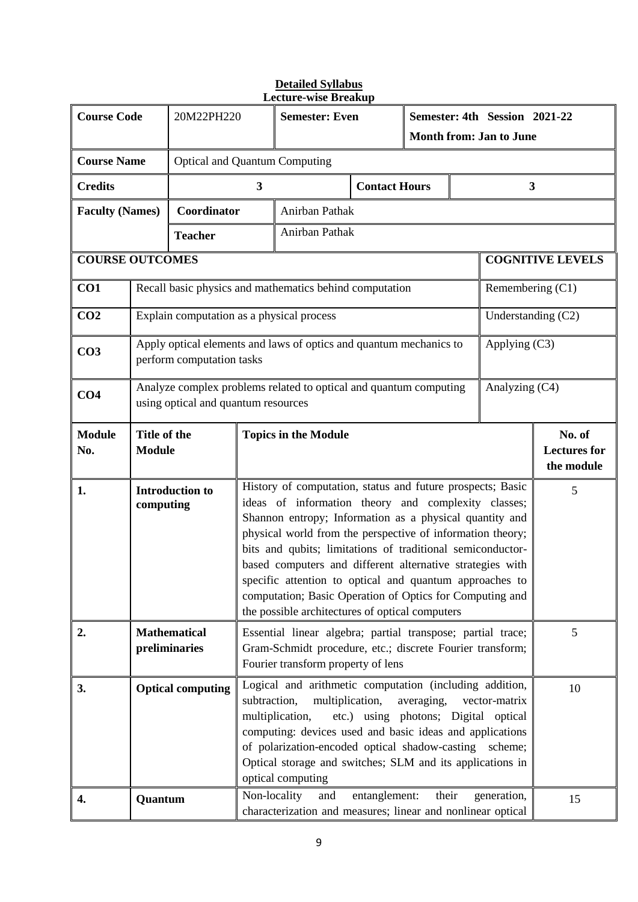| <b>Course Code</b>     |                                                                                                                                                                                                                                                                                                                                                                                                                                                                                                                                     | 20M22PH220                                                                                               |                         | <b>Semester: Even</b><br><b>Month from: Jan to June</b>                                                                     |                      | Semester: 4th Session 2021-22               |                |                         |                         |
|------------------------|-------------------------------------------------------------------------------------------------------------------------------------------------------------------------------------------------------------------------------------------------------------------------------------------------------------------------------------------------------------------------------------------------------------------------------------------------------------------------------------------------------------------------------------|----------------------------------------------------------------------------------------------------------|-------------------------|-----------------------------------------------------------------------------------------------------------------------------|----------------------|---------------------------------------------|----------------|-------------------------|-------------------------|
| <b>Course Name</b>     |                                                                                                                                                                                                                                                                                                                                                                                                                                                                                                                                     | <b>Optical and Quantum Computing</b>                                                                     |                         |                                                                                                                             |                      |                                             |                |                         |                         |
| <b>Credits</b>         |                                                                                                                                                                                                                                                                                                                                                                                                                                                                                                                                     |                                                                                                          | $\overline{\mathbf{3}}$ |                                                                                                                             | <b>Contact Hours</b> |                                             |                | $\overline{\mathbf{3}}$ |                         |
| <b>Faculty (Names)</b> |                                                                                                                                                                                                                                                                                                                                                                                                                                                                                                                                     | Coordinator                                                                                              |                         | Anirban Pathak                                                                                                              |                      |                                             |                |                         |                         |
|                        |                                                                                                                                                                                                                                                                                                                                                                                                                                                                                                                                     | <b>Teacher</b>                                                                                           |                         | Anirban Pathak                                                                                                              |                      |                                             |                |                         |                         |
| <b>COURSE OUTCOMES</b> |                                                                                                                                                                                                                                                                                                                                                                                                                                                                                                                                     |                                                                                                          |                         |                                                                                                                             |                      |                                             |                |                         | <b>COGNITIVE LEVELS</b> |
| CO1                    |                                                                                                                                                                                                                                                                                                                                                                                                                                                                                                                                     |                                                                                                          |                         | Recall basic physics and mathematics behind computation                                                                     |                      |                                             |                | Remembering (C1)        |                         |
| CO <sub>2</sub>        |                                                                                                                                                                                                                                                                                                                                                                                                                                                                                                                                     | Explain computation as a physical process                                                                |                         |                                                                                                                             |                      |                                             |                | Understanding $(C2)$    |                         |
| CO <sub>3</sub>        |                                                                                                                                                                                                                                                                                                                                                                                                                                                                                                                                     | perform computation tasks                                                                                |                         | Apply optical elements and laws of optics and quantum mechanics to                                                          |                      |                                             |                | Applying (C3)           |                         |
| CO <sub>4</sub>        |                                                                                                                                                                                                                                                                                                                                                                                                                                                                                                                                     | Analyze complex problems related to optical and quantum computing<br>using optical and quantum resources |                         |                                                                                                                             |                      |                                             | Analyzing (C4) |                         |                         |
| <b>Module</b><br>No.   |                                                                                                                                                                                                                                                                                                                                                                                                                                                                                                                                     | Title of the<br><b>Topics in the Module</b><br><b>Module</b>                                             |                         |                                                                                                                             |                      | No. of<br><b>Lectures for</b><br>the module |                |                         |                         |
| 1.                     | History of computation, status and future prospects; Basic<br><b>Introduction to</b><br>ideas of information theory and complexity classes;<br>computing<br>Shannon entropy; Information as a physical quantity and<br>physical world from the perspective of information theory;<br>bits and qubits; limitations of traditional semiconductor-<br>based computers and different alternative strategies with<br>specific attention to optical and quantum approaches to<br>computation; Basic Operation of Optics for Computing and |                                                                                                          |                         |                                                                                                                             |                      | 5                                           |                |                         |                         |
| 2.                     | the possible architectures of optical computers<br><b>Mathematical</b><br>Essential linear algebra; partial transpose; partial trace;<br>preliminaries<br>Gram-Schmidt procedure, etc.; discrete Fourier transform;<br>Fourier transform property of lens                                                                                                                                                                                                                                                                           |                                                                                                          |                         |                                                                                                                             |                      | 5                                           |                |                         |                         |
| 3.                     | Logical and arithmetic computation (including addition,<br><b>Optical computing</b><br>subtraction,<br>multiplication,<br>averaging,<br>vector-matrix<br>multiplication,<br>etc.) using photons; Digital optical<br>computing: devices used and basic ideas and applications<br>of polarization-encoded optical shadow-casting scheme;<br>Optical storage and switches; SLM and its applications in<br>optical computing                                                                                                            |                                                                                                          |                         |                                                                                                                             |                      | 10                                          |                |                         |                         |
| 4.                     | Quantum                                                                                                                                                                                                                                                                                                                                                                                                                                                                                                                             |                                                                                                          |                         | Non-locality<br>entanglement:<br>and<br>their<br>generation,<br>characterization and measures; linear and nonlinear optical |                      |                                             |                | 15                      |                         |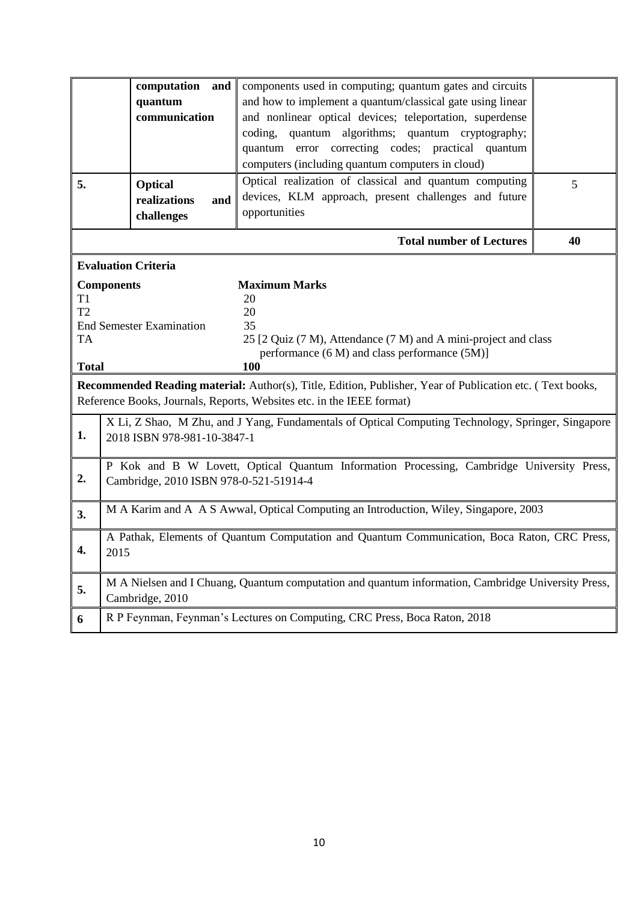|                                                                                                                                                                                                                                                                    | computation and<br>quantum<br>communication                                                                                         | components used in computing; quantum gates and circuits<br>and how to implement a quantum/classical gate using linear<br>and nonlinear optical devices; teleportation, superdense<br>coding, quantum algorithms; quantum cryptography; |    |  |  |
|--------------------------------------------------------------------------------------------------------------------------------------------------------------------------------------------------------------------------------------------------------------------|-------------------------------------------------------------------------------------------------------------------------------------|-----------------------------------------------------------------------------------------------------------------------------------------------------------------------------------------------------------------------------------------|----|--|--|
|                                                                                                                                                                                                                                                                    |                                                                                                                                     | quantum error correcting codes; practical quantum<br>computers (including quantum computers in cloud)                                                                                                                                   |    |  |  |
| 5.                                                                                                                                                                                                                                                                 | <b>Optical</b><br>realizations<br>and<br>challenges                                                                                 | Optical realization of classical and quantum computing<br>devices, KLM approach, present challenges and future<br>opportunities                                                                                                         | 5  |  |  |
|                                                                                                                                                                                                                                                                    |                                                                                                                                     | <b>Total number of Lectures</b>                                                                                                                                                                                                         | 40 |  |  |
|                                                                                                                                                                                                                                                                    | <b>Evaluation Criteria</b>                                                                                                          |                                                                                                                                                                                                                                         |    |  |  |
| <b>Maximum Marks</b><br><b>Components</b><br>T1<br>20<br>T2<br>20<br><b>End Semester Examination</b><br>35<br>25 [2 Quiz (7 M), Attendance (7 M) and A mini-project and class<br><b>TA</b><br>performance (6 M) and class performance (5M)]<br><b>Total</b><br>100 |                                                                                                                                     |                                                                                                                                                                                                                                         |    |  |  |
| Recommended Reading material: Author(s), Title, Edition, Publisher, Year of Publication etc. (Text books,<br>Reference Books, Journals, Reports, Websites etc. in the IEEE format)                                                                                 |                                                                                                                                     |                                                                                                                                                                                                                                         |    |  |  |
| 1.                                                                                                                                                                                                                                                                 | X Li, Z Shao, M Zhu, and J Yang, Fundamentals of Optical Computing Technology, Springer, Singapore<br>2018 ISBN 978-981-10-3847-1   |                                                                                                                                                                                                                                         |    |  |  |
| 2.                                                                                                                                                                                                                                                                 | P Kok and B W Lovett, Optical Quantum Information Processing, Cambridge University Press,<br>Cambridge, 2010 ISBN 978-0-521-51914-4 |                                                                                                                                                                                                                                         |    |  |  |
| 3.                                                                                                                                                                                                                                                                 | M A Karim and A A S Awwal, Optical Computing an Introduction, Wiley, Singapore, 2003                                                |                                                                                                                                                                                                                                         |    |  |  |
| 4.                                                                                                                                                                                                                                                                 | A Pathak, Elements of Quantum Computation and Quantum Communication, Boca Raton, CRC Press,<br>2015                                 |                                                                                                                                                                                                                                         |    |  |  |
| 5.                                                                                                                                                                                                                                                                 | M A Nielsen and I Chuang, Quantum computation and quantum information, Cambridge University Press,<br>Cambridge, 2010               |                                                                                                                                                                                                                                         |    |  |  |
| 6                                                                                                                                                                                                                                                                  | R P Feynman, Feynman's Lectures on Computing, CRC Press, Boca Raton, 2018                                                           |                                                                                                                                                                                                                                         |    |  |  |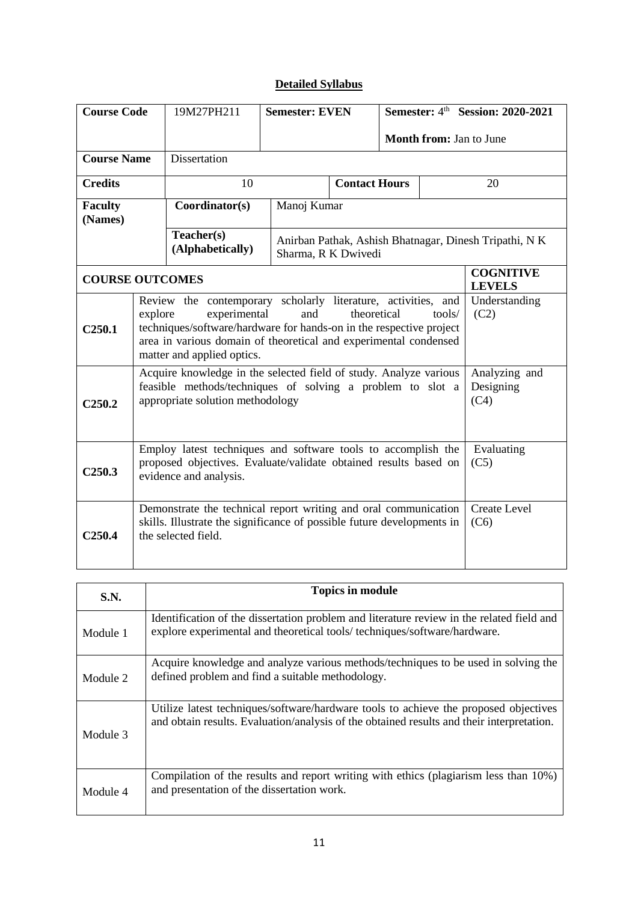# **Detailed Syllabus**

| <b>Course Code</b>                                                                                                                                                                        |                                                                                                                                                                                                                                                                                                                            | 19M27PH211                                                                                                                                                  | <b>Semester: EVEN</b>                                                         |                      | Semester: 4th Session: 2020-2021   |    |                                   |  |
|-------------------------------------------------------------------------------------------------------------------------------------------------------------------------------------------|----------------------------------------------------------------------------------------------------------------------------------------------------------------------------------------------------------------------------------------------------------------------------------------------------------------------------|-------------------------------------------------------------------------------------------------------------------------------------------------------------|-------------------------------------------------------------------------------|----------------------|------------------------------------|----|-----------------------------------|--|
|                                                                                                                                                                                           |                                                                                                                                                                                                                                                                                                                            |                                                                                                                                                             |                                                                               |                      | Month from: Jan to June            |    |                                   |  |
| <b>Course Name</b>                                                                                                                                                                        |                                                                                                                                                                                                                                                                                                                            | Dissertation                                                                                                                                                |                                                                               |                      |                                    |    |                                   |  |
| <b>Credits</b>                                                                                                                                                                            |                                                                                                                                                                                                                                                                                                                            | 10                                                                                                                                                          |                                                                               | <b>Contact Hours</b> |                                    | 20 |                                   |  |
| <b>Faculty</b><br>(Names)                                                                                                                                                                 |                                                                                                                                                                                                                                                                                                                            | Coordinator(s)                                                                                                                                              |                                                                               | Manoj Kumar          |                                    |    |                                   |  |
|                                                                                                                                                                                           |                                                                                                                                                                                                                                                                                                                            | Teacher(s)<br>(Alphabetically)                                                                                                                              | Anirban Pathak, Ashish Bhatnagar, Dinesh Tripathi, N K<br>Sharma, R K Dwivedi |                      |                                    |    |                                   |  |
| <b>COURSE OUTCOMES</b>                                                                                                                                                                    |                                                                                                                                                                                                                                                                                                                            |                                                                                                                                                             |                                                                               |                      |                                    |    | <b>COGNITIVE</b><br><b>LEVELS</b> |  |
| C <sub>250.1</sub>                                                                                                                                                                        | Review the contemporary scholarly literature, activities, and<br>Understanding<br>experimental<br>theoretical<br>(C2)<br>explore<br>and<br>tools/<br>techniques/software/hardware for hands-on in the respective project<br>area in various domain of theoretical and experimental condensed<br>matter and applied optics. |                                                                                                                                                             |                                                                               |                      |                                    |    |                                   |  |
| Acquire knowledge in the selected field of study. Analyze various<br>feasible methods/techniques of solving a problem to slot a<br>appropriate solution methodology<br>C <sub>250.2</sub> |                                                                                                                                                                                                                                                                                                                            |                                                                                                                                                             |                                                                               |                      | Analyzing and<br>Designing<br>(C4) |    |                                   |  |
| C <sub>250.3</sub>                                                                                                                                                                        |                                                                                                                                                                                                                                                                                                                            | Employ latest techniques and software tools to accomplish the<br>proposed objectives. Evaluate/validate obtained results based on<br>evidence and analysis. |                                                                               |                      |                                    |    | Evaluating<br>(C5)                |  |
| C <sub>250.4</sub>                                                                                                                                                                        | <b>Create Level</b><br>Demonstrate the technical report writing and oral communication<br>skills. Illustrate the significance of possible future developments in<br>(C6)<br>the selected field.                                                                                                                            |                                                                                                                                                             |                                                                               |                      |                                    |    |                                   |  |

| S.N.     | <b>Topics in module</b>                                                                                                                                                           |
|----------|-----------------------------------------------------------------------------------------------------------------------------------------------------------------------------------|
| Module 1 | Identification of the dissertation problem and literature review in the related field and<br>explore experimental and theoretical tools/techniques/software/hardware.             |
| Module 2 | Acquire knowledge and analyze various methods/techniques to be used in solving the<br>defined problem and find a suitable methodology.                                            |
| Module 3 | Utilize latest techniques/software/hardware tools to achieve the proposed objectives<br>and obtain results. Evaluation/analysis of the obtained results and their interpretation. |
| Module 4 | Compilation of the results and report writing with ethics (plagiarism less than 10%)<br>and presentation of the dissertation work.                                                |